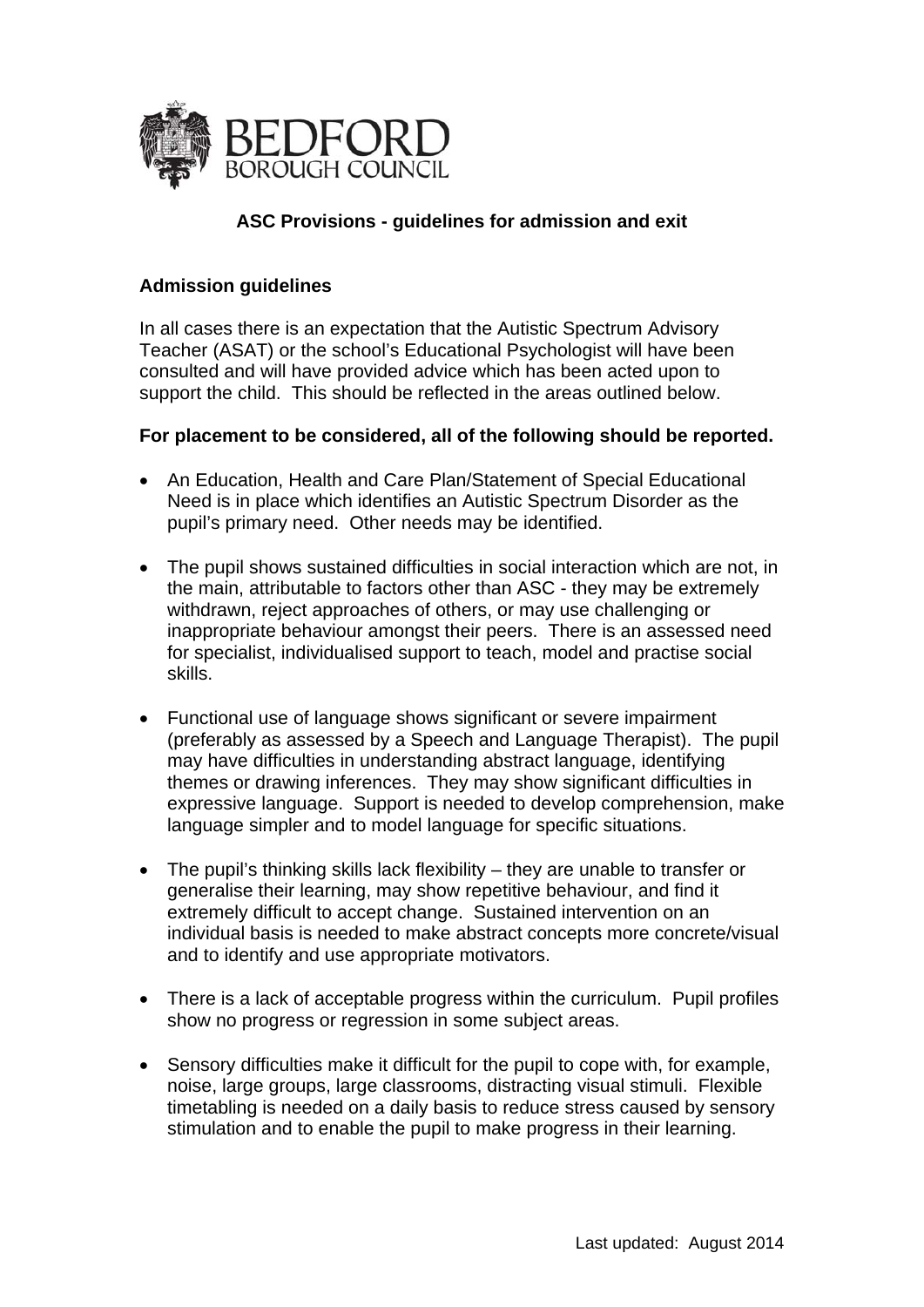

## **ASC Provisions - guidelines for admission and exit**

## **Admission guidelines**

In all cases there is an expectation that the Autistic Spectrum Advisory Teacher (ASAT) or the school's Educational Psychologist will have been consulted and will have provided advice which has been acted upon to support the child. This should be reflected in the areas outlined below.

## **For placement to be considered, all of the following should be reported.**

- An Education, Health and Care Plan/Statement of Special Educational Need is in place which identifies an Autistic Spectrum Disorder as the pupil's primary need. Other needs may be identified.
- The pupil shows sustained difficulties in social interaction which are not, in the main, attributable to factors other than ASC - they may be extremely withdrawn, reject approaches of others, or may use challenging or inappropriate behaviour amongst their peers. There is an assessed need for specialist, individualised support to teach, model and practise social skills.
- Functional use of language shows significant or severe impairment (preferably as assessed by a Speech and Language Therapist). The pupil may have difficulties in understanding abstract language, identifying themes or drawing inferences. They may show significant difficulties in expressive language. Support is needed to develop comprehension, make language simpler and to model language for specific situations.
- The pupil's thinking skills lack flexibility they are unable to transfer or generalise their learning, may show repetitive behaviour, and find it extremely difficult to accept change. Sustained intervention on an individual basis is needed to make abstract concepts more concrete/visual and to identify and use appropriate motivators.
- There is a lack of acceptable progress within the curriculum. Pupil profiles show no progress or regression in some subject areas.
- Sensory difficulties make it difficult for the pupil to cope with, for example, noise, large groups, large classrooms, distracting visual stimuli. Flexible timetabling is needed on a daily basis to reduce stress caused by sensory stimulation and to enable the pupil to make progress in their learning.